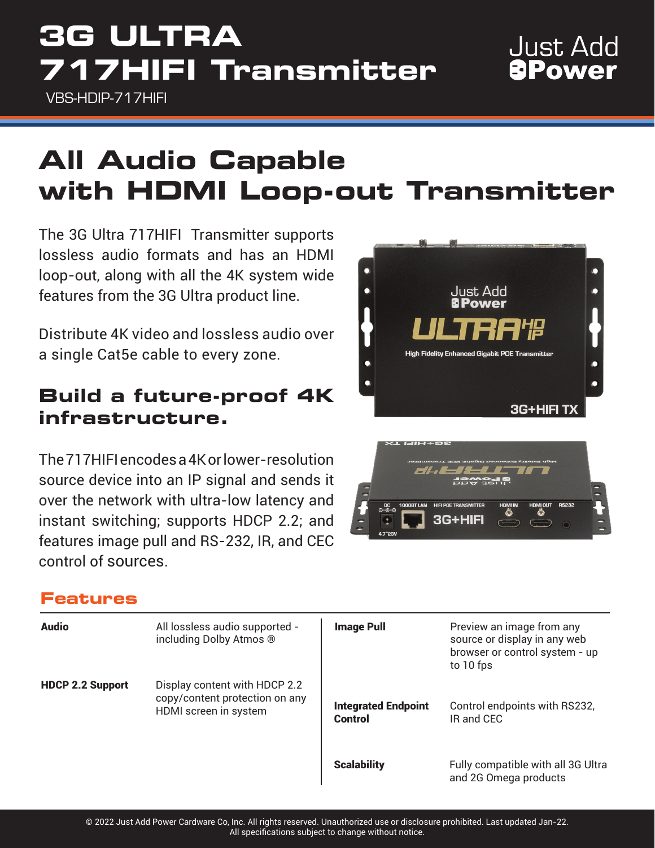# **3G ULTRA 717HIFI Transmitter**

VBS-HDIP-717HIFI

# **All Audio Capable with HDMI Loop-out Transmitter**

The 3G Ultra 717HIFI Transmitter supports lossless audio formats and has an HDMI loop-out, along with all the 4K system wide features from the 3G Ultra product line.

Distribute 4K video and lossless audio over a single Cat5e cable to every zone.

## **Build a future-proof 4K infrastructure.**

The 717HIFI encodes a 4K or lower-resolution source device into an IP signal and sends it over the network with ultra-low latency and instant switching; supports HDCP 2.2; and features image pull and RS-232, IR, and CEC control of sources.

## **Features**

| <b>Audio</b>            | All lossless audio supported -<br>including Dolby Atmos ®                                | <b>Image Pull</b>                     | Preview an image from any<br>source or display in any web<br>browser or control system - up<br>to 10 fps |
|-------------------------|------------------------------------------------------------------------------------------|---------------------------------------|----------------------------------------------------------------------------------------------------------|
| <b>HDCP 2.2 Support</b> | Display content with HDCP 2.2<br>copy/content protection on any<br>HDMI screen in system | <b>Integrated Endpoint</b><br>Control | Control endpoints with RS232,<br>IR and CEC                                                              |
|                         |                                                                                          | <b>Scalability</b>                    | Fully compatible with all 3G Ultra<br>and 2G Omega products                                              |